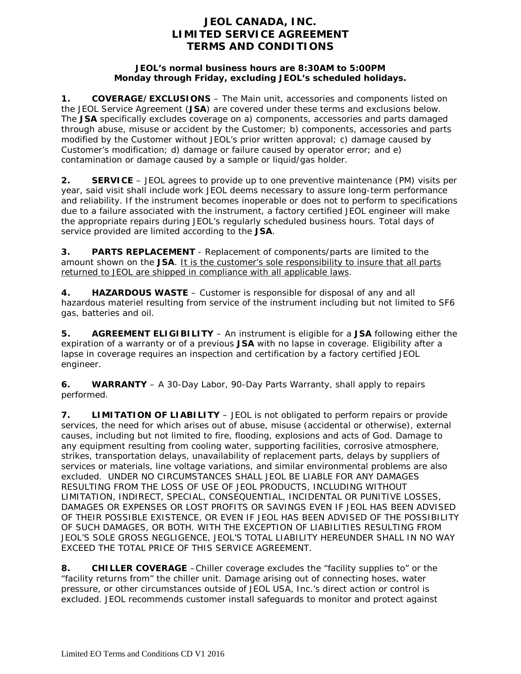## **JEOL CANADA, INC. LIMITED SERVICE AGREEMENT TERMS AND CONDITIONS**

## **JEOL's normal business hours are 8:30AM to 5:00PM Monday through Friday, excluding JEOL's scheduled holidays.**

**1. COVERAGE/EXCLUSIONS** – The Main unit, accessories and components listed on the JEOL Service Agreement (**JSA**) are covered under these terms and exclusions below. The **JSA** specifically excludes coverage on a) components, accessories and parts damaged through abuse, misuse or accident by the Customer; b) components, accessories and parts modified by the Customer without JEOL's prior written approval; c) damage caused by Customer's modification; d) damage or failure caused by operator error; and e) contamination or damage caused by a sample or liquid/gas holder.

**2. SERVICE** – JEOL agrees to provide up to one preventive maintenance (PM) visits per year, said visit shall include work JEOL deems necessary to assure long-term performance and reliability. If the instrument becomes inoperable or does not to perform to specifications due to a failure associated with the instrument, a factory certified JEOL engineer will make the appropriate repairs during JEOL's regularly scheduled business hours. Total days of service provided are limited according to the **JSA**.

**3. PARTS REPLACEMENT** - Replacement of components/parts are limited to the amount shown on the **JSA**. It is the customer's sole responsibility to insure that all parts returned to JEOL are shipped in compliance with all applicable laws.

**4. HAZARDOUS WASTE** – Customer is responsible for disposal of any and all hazardous materiel resulting from service of the instrument including but not limited to SF6 gas, batteries and oil.

**5. AGREEMENT ELIGIBILITY** – An instrument is eligible for a **JSA** following either the expiration of a warranty or of a previous **JSA** with no lapse in coverage. Eligibility after a lapse in coverage requires an inspection and certification by a factory certified JEOL engineer.

**6. WARRANTY** – A 30-Day Labor, 90-Day Parts Warranty, shall apply to repairs performed.

**7. LIMITATION OF LIABILITY** – JEOL is not obligated to perform repairs or provide services, the need for which arises out of abuse, misuse (accidental or otherwise), external causes, including but not limited to fire, flooding, explosions and acts of God. Damage to any equipment resulting from cooling water, supporting facilities, corrosive atmosphere, strikes, transportation delays, unavailability of replacement parts, delays by suppliers of services or materials, line voltage variations, and similar environmental problems are also excluded. UNDER NO CIRCUMSTANCES SHALL JEOL BE LIABLE FOR ANY DAMAGES RESULTING FROM THE LOSS OF USE OF JEOL PRODUCTS, INCLUDING WITHOUT LIMITATION, INDIRECT, SPECIAL, CONSEQUENTIAL, INCIDENTAL OR PUNITIVE LOSSES, DAMAGES OR EXPENSES OR LOST PROFITS OR SAVINGS EVEN IF JEOL HAS BEEN ADVISED OF THEIR POSSIBLE EXISTENCE, OR EVEN IF JEOL HAS BEEN ADVISED OF THE POSSIBILITY OF SUCH DAMAGES, OR BOTH. WITH THE EXCEPTION OF LIABILITIES RESULTING FROM JEOL'S SOLE GROSS NEGLIGENCE, JEOL'S TOTAL LIABILITY HEREUNDER SHALL IN NO WAY EXCEED THE TOTAL PRICE OF THIS SERVICE AGREEMENT.

**8. CHILLER COVERAGE** –Chiller coverage excludes the "facility supplies to" or the "facility returns from" the chiller unit. Damage arising out of connecting hoses, water pressure, or other circumstances outside of JEOL USA, Inc.'s direct action or control is excluded. JEOL recommends customer install safeguards to monitor and protect against